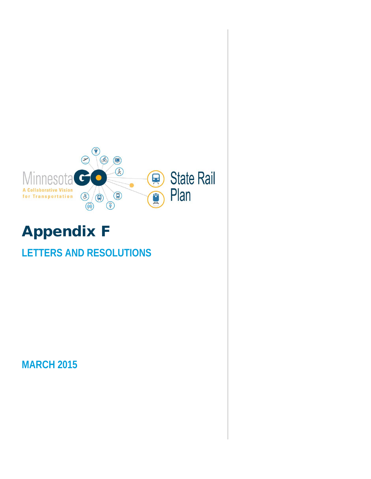

## Appendix F

## **LETTERS AND RESOLUTIONS**

**MARCH 2015**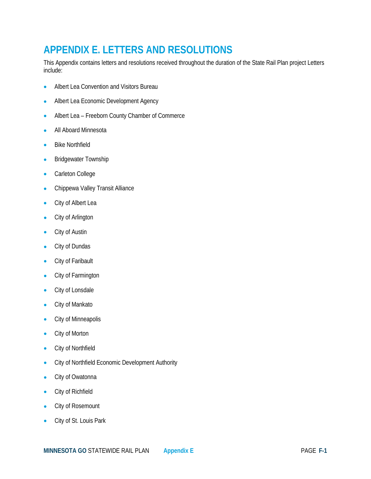## **APPENDIX E. LETTERS AND RESOLUTIONS**

This Appendix contains letters and resolutions received throughout the duration of the State Rail Plan project Letters include:

- Albert Lea Convention and Visitors Bureau
- Albert Lea Economic Development Agency
- Albert Lea Freeborn County Chamber of Commerce
- All Aboard Minnesota
- Bike Northfield
- Bridgewater Township
- Carleton College
- Chippewa Valley Transit Alliance
- City of Albert Lea
- City of Arlington
- City of Austin
- City of Dundas
- City of Faribault
- City of Farmington
- City of Lonsdale
- City of Mankato
- City of Minneapolis
- City of Morton
- City of Northfield
- City of Northfield Economic Development Authority
- City of Owatonna
- City of Richfield
- City of Rosemount
- City of St. Louis Park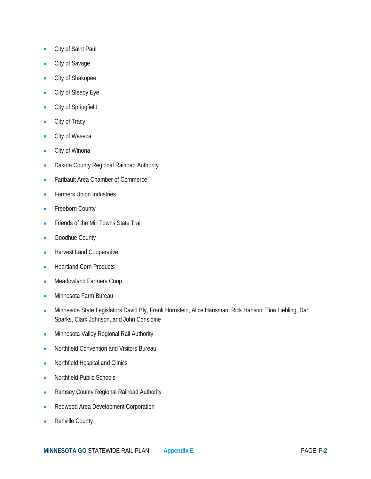- City of Saint Paul
- City of Savage
- City of Shakopee
- City of Sleepy Eye
- City of Springfield
- City of Tracy
- City of Waseca
- City of Winona
- Dakota County Regional Railroad Authority
- Faribault Area Chamber of Commerce
- Farmers Union Industries
- Freeborn County
- Friends of the Mill Towns State Trail
- Goodhue County
- Harvest Land Cooperative
- Heartland Corn Products
- Meadowland Farmers Coop
- Minnesota Farm Bureau
- Minnesota State Legislators David Bly, Frank Hornstein, Alice Hausman, Rick Hanson, Tina Liebling, Dan Sparks, Clark Johnson, and John Considine
- Minnesota Valley Regional Rail Authority
- Northfield Convention and Visitors Bureau
- Northfield Hospital and Clinics
- Northfield Public Schools
- Ramsey County Regional Railroad Authority
- Redwood Area Development Corporation
- Renville County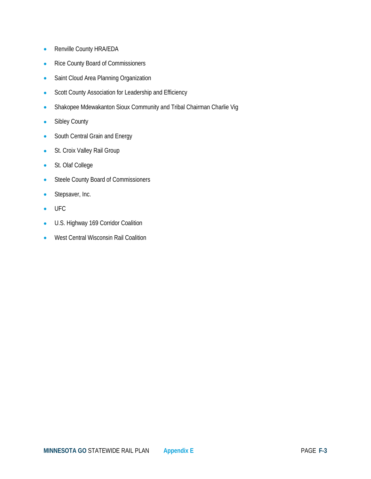- Renville County HRA/EDA
- Rice County Board of Commissioners
- Saint Cloud Area Planning Organization
- Scott County Association for Leadership and Efficiency
- Shakopee Mdewakanton Sioux Community and Tribal Chairman Charlie Vig
- Sibley County
- South Central Grain and Energy
- St. Croix Valley Rail Group
- St. Olaf College
- Steele County Board of Commissioners
- Stepsaver, Inc.
- UFC
- U.S. Highway 169 Corridor Coalition
- West Central Wisconsin Rail Coalition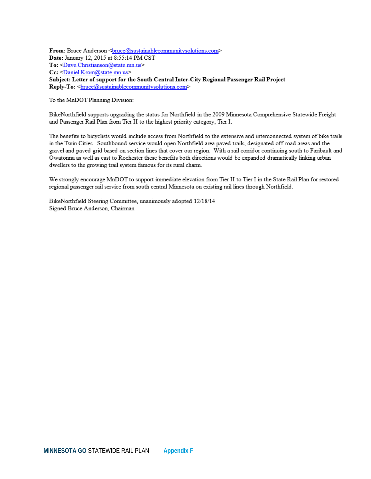From: Bruce Anderson <br/>
onuce@sustainablecommunitysolutions.com> Date: January 12, 2015 at 8:55:14 PM CST To: <Dave.Christianson@state.mn.us> Cc: <Daniel.Krom@state.mn.us> Subject: Letter of support for the South Central Inter-City Regional Passenger Rail Project Reply-To: <br />
<u>bruce@sustainablecommunitysolutions.com</u>>

To the MnDOT Planning Division:

BikeNorthfield supports upgrading the status for Northfield in the 2009 Minnesota Comprehensive Statewide Freight and Passenger Rail Plan from Tier II to the highest priority category, Tier I.

The benefits to bicyclists would include access from Northfield to the extensive and interconnected system of bike trails in the Twin Cities. Southbound service would open Northfield area paved trails, designated off-road areas and the gravel and paved grid based on section lines that cover our region. With a rail corridor continuing south to Faribault and Owatonna as well as east to Rochester these benefits both directions would be expanded dramatically linking urban dwellers to the growing trail system famous for its rural charm.

We strongly encourage MnDOT to support immediate elevation from Tier II to Tier I in the State Rail Plan for restored regional passenger rail service from south central Minnesota on existing rail lines through Northfield.

BikeNorthfield Steering Committee, unanimously adopted 12/18/14 Signed Bruce Anderson, Chairman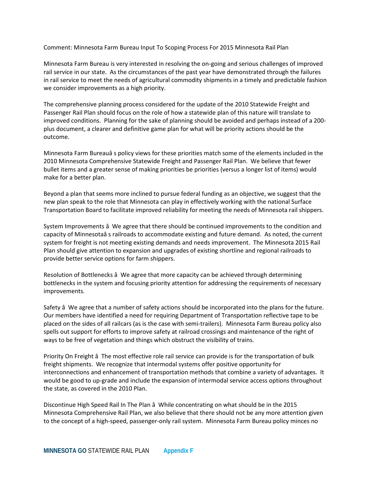Comment: Minnesota Farm Bureau Input To Scoping Process For 2015 Minnesota Rail Plan

Minnesota Farm Bureau is very interested in resolving the on-going and serious challenges of improved rail service in our state. As the circumstances of the past year have demonstrated through the failures in rail service to meet the needs of agricultural commodity shipments in a timely and predictable fashion we consider improvements as a high priority.

The comprehensive planning process considered for the update of the 2010 Statewide Freight and Passenger Rail Plan should focus on the role of how a statewide plan of this nature will translate to improved conditions. Planning for the sake of planning should be avoided and perhaps instead of a 200 plus document, a clearer and definitive game plan for what will be priority actions should be the outcome.

Minnesota Farm Bureauâ s policy views for these priorities match some of the elements included in the 2010 Minnesota Comprehensive Statewide Freight and Passenger Rail Plan. We believe that fewer bullet items and a greater sense of making priorities be priorities (versus a longer list of items) would make for a better plan.

Beyond a plan that seems more inclined to pursue federal funding as an objective, we suggest that the new plan speak to the role that Minnesota can play in effectively working with the national Surface Transportation Board to facilitate improved reliability for meeting the needs of Minnesota rail shippers.

System Improvements â We agree that there should be continued improvements to the condition and capacity of Minnesotaâ s railroads to accommodate existing and future demand. As noted, the current system for freight is not meeting existing demands and needs improvement. The Minnesota 2015 Rail Plan should give attention to expansion and upgrades of existing shortline and regional railroads to provide better service options for farm shippers.

Resolution of Bottlenecks â We agree that more capacity can be achieved through determining bottlenecks in the system and focusing priority attention for addressing the requirements of necessary improvements.

Safety â We agree that a number of safety actions should be incorporated into the plans for the future. Our members have identified a need for requiring Department of Transportation reflective tape to be placed on the sides of all railcars (as is the case with semi-trailers). Minnesota Farm Bureau policy also spells out support for efforts to improve safety at railroad crossings and maintenance of the right of ways to be free of vegetation and things which obstruct the visibility of trains.

Priority On Freight â The most effective role rail service can provide is for the transportation of bulk freight shipments. We recognize that intermodal systems offer positive opportunity for interconnections and enhancement of transportation methods that combine a variety of advantages. It would be good to up-grade and include the expansion of intermodal service access options throughout the state, as covered in the 2010 Plan.

Discontinue High Speed Rail In The Plan â While concentrating on what should be in the 2015 Minnesota Comprehensive Rail Plan, we also believe that there should not be any more attention given to the concept of a high-speed, passenger-only rail system. Minnesota Farm Bureau policy minces no